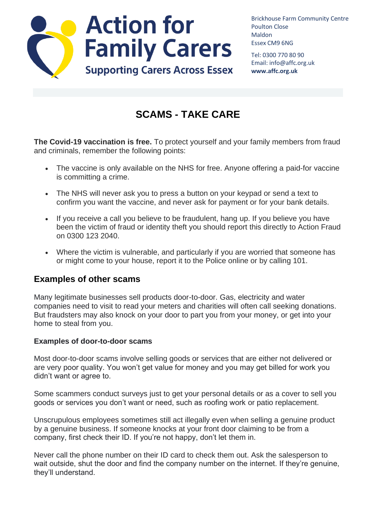

Brickhouse Farm Community Centre Poulton Close Maldon Essex CM9 6NG

Tel: 0300 770 80 90 Email: info@affc.org.uk **www.affc.org.uk**

# **SCAMS - TAKE CARE**

**The Covid-19 vaccination is free.** To protect yourself and your family members from fraud and criminals, remember the following points:

- The vaccine is only available on the NHS for free. Anyone offering a paid-for vaccine is committing a crime.
- The NHS will never ask you to press a button on your keypad or send a text to confirm you want the vaccine, and never ask for payment or for your bank details.
- If you receive a call you believe to be fraudulent, hang up. If you believe you have been the victim of fraud or identity theft you should report this directly to Action Fraud on 0300 123 2040.
- Where the victim is vulnerable, and particularly if you are worried that someone has or might come to your house, report it to the Police online or by calling 101.

## **Examples of other scams**

Many legitimate businesses sell products door-to-door. Gas, electricity and water companies need to visit to read your meters and charities will often call seeking donations. But fraudsters may also knock on your door to part you from your money, or get into your home to steal from you.

#### **Examples of door-to-door scams**

Most door-to-door scams involve selling goods or services that are either not delivered or are very poor quality. You won't get value for money and you may get billed for work you didn't want or agree to.

Some scammers conduct surveys just to get your personal details or as a cover to sell you goods or services you don't want or need, such as roofing work or patio replacement.

Unscrupulous employees sometimes still act illegally even when selling a genuine product by a genuine business. If someone knocks at your front door claiming to be from a company, first check their ID. If you're not happy, don't let them in.

Never call the phone number on their ID card to check them out. Ask the salesperson to wait outside, shut the door and find the company number on the internet. If they're genuine, they'll understand.